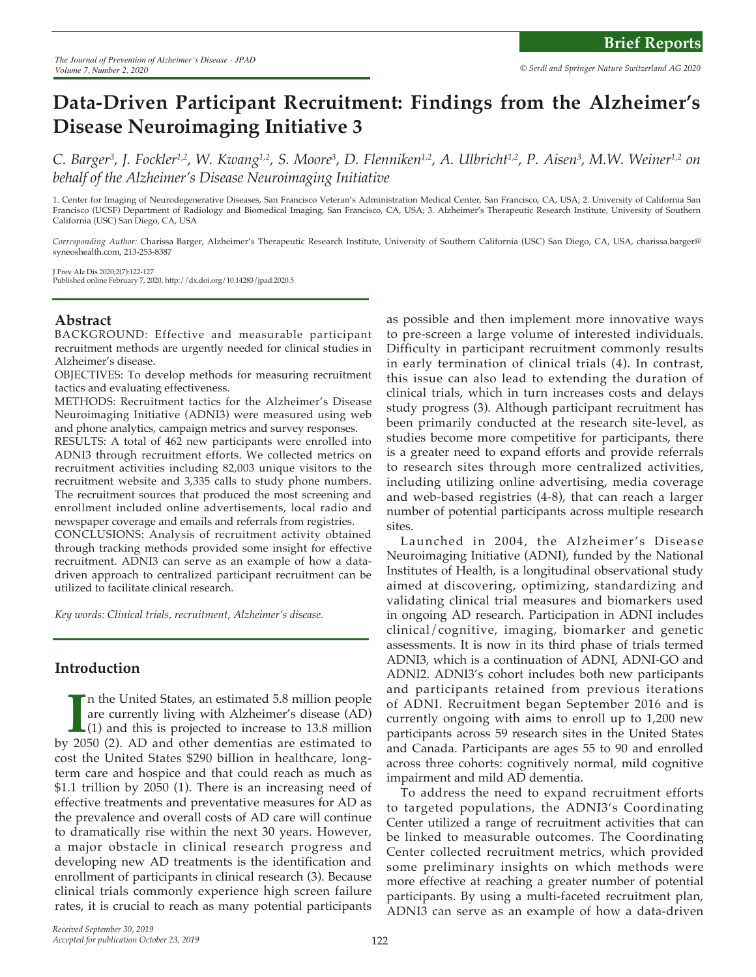# **Data-Driven Participant Recruitment: Findings from the Alzheimer's Disease Neuroimaging Initiative 3**

C. Barger<sup>3</sup>, J. Fockler<sup>1,2</sup>, W. Kwang<sup>1,2</sup>, S. Moore<sup>3</sup>, D. Flenniken<sup>1,2</sup>, A. Ulbricht<sup>1,2</sup>, P. Aisen<sup>3</sup>, M.W. Weiner<sup>1,2</sup> on *behalf of the Alzheimer's Disease Neuroimaging Initiative*

1. Center for Imaging of Neurodegenerative Diseases, San Francisco Veteran's Administration Medical Center, San Francisco, CA, USA; 2. University of California San Francisco (UCSF) Department of Radiology and Biomedical Imaging, San Francisco, CA, USA; 3. Alzheimer's Therapeutic Research Institute, University of Southern California (USC) San Diego, CA, USA

*Corresponding Author:* Charissa Barger, Alzheimer's Therapeutic Research Institute, University of Southern California (USC) San Diego, CA, USA, charissa.barger@ syneoshealth.com, 213-253-8387

J Prev Alz Dis 2020;2(7):122-127 Published online February 7, 2020, http://dx.doi.org/10.14283/jpad.2020.5

# **Abstract**

BACKGROUND: Effective and measurable participant recruitment methods are urgently needed for clinical studies in Alzheimer's disease.

OBJECTIVES: To develop methods for measuring recruitment tactics and evaluating effectiveness.

METHODS: Recruitment tactics for the Alzheimer's Disease Neuroimaging Initiative (ADNI3) were measured using web and phone analytics, campaign metrics and survey responses.

RESULTS: A total of 462 new participants were enrolled into ADNI3 through recruitment efforts. We collected metrics on recruitment activities including 82,003 unique visitors to the recruitment website and 3,335 calls to study phone numbers. The recruitment sources that produced the most screening and enrollment included online advertisements, local radio and newspaper coverage and emails and referrals from registries.

CONCLUSIONS: Analysis of recruitment activity obtained through tracking methods provided some insight for effective recruitment. ADNI3 can serve as an example of how a datadriven approach to centralized participant recruitment can be utilized to facilitate clinical research.

*Key words: Clinical trials, recruitment, Alzheimer's disease.*

# **Introduction**

In the United States, an estimated 5.8 million people are currently living with Alzheimer's disease (AD) (1) and this is projected to increase to 13.8 million by 2050 (2). AD and other dementias are estimated to n the United States, an estimated 5.8 million people are currently living with Alzheimer's disease (AD) (1) and this is projected to increase to 13.8 million cost the United States \$290 billion in healthcare, longterm care and hospice and that could reach as much as \$1.1 trillion by 2050 (1). There is an increasing need of effective treatments and preventative measures for AD as the prevalence and overall costs of AD care will continue to dramatically rise within the next 30 years. However, a major obstacle in clinical research progress and developing new AD treatments is the identification and enrollment of participants in clinical research (3). Because clinical trials commonly experience high screen failure rates, it is crucial to reach as many potential participants

as possible and then implement more innovative ways to pre-screen a large volume of interested individuals. Difficulty in participant recruitment commonly results in early termination of clinical trials (4). In contrast, this issue can also lead to extending the duration of clinical trials, which in turn increases costs and delays study progress (3). Although participant recruitment has been primarily conducted at the research site-level, as studies become more competitive for participants, there is a greater need to expand efforts and provide referrals to research sites through more centralized activities, including utilizing online advertising, media coverage and web-based registries (4-8), that can reach a larger number of potential participants across multiple research sites.

Launched in 2004, the Alzheimer's Disease Neuroimaging Initiative (ADNI), funded by the National Institutes of Health, is a longitudinal observational study aimed at discovering, optimizing, standardizing and validating clinical trial measures and biomarkers used in ongoing AD research. Participation in ADNI includes clinical/cognitive, imaging, biomarker and genetic assessments. It is now in its third phase of trials termed ADNI3, which is a continuation of ADNI, ADNI-GO and ADNI2. ADNI3's cohort includes both new participants and participants retained from previous iterations of ADNI. Recruitment began September 2016 and is currently ongoing with aims to enroll up to 1,200 new participants across 59 research sites in the United States and Canada. Participants are ages 55 to 90 and enrolled across three cohorts: cognitively normal, mild cognitive impairment and mild AD dementia.

To address the need to expand recruitment efforts to targeted populations, the ADNI3's Coordinating Center utilized a range of recruitment activities that can be linked to measurable outcomes. The Coordinating Center collected recruitment metrics, which provided some preliminary insights on which methods were more effective at reaching a greater number of potential participants. By using a multi-faceted recruitment plan, ADNI3 can serve as an example of how a data-driven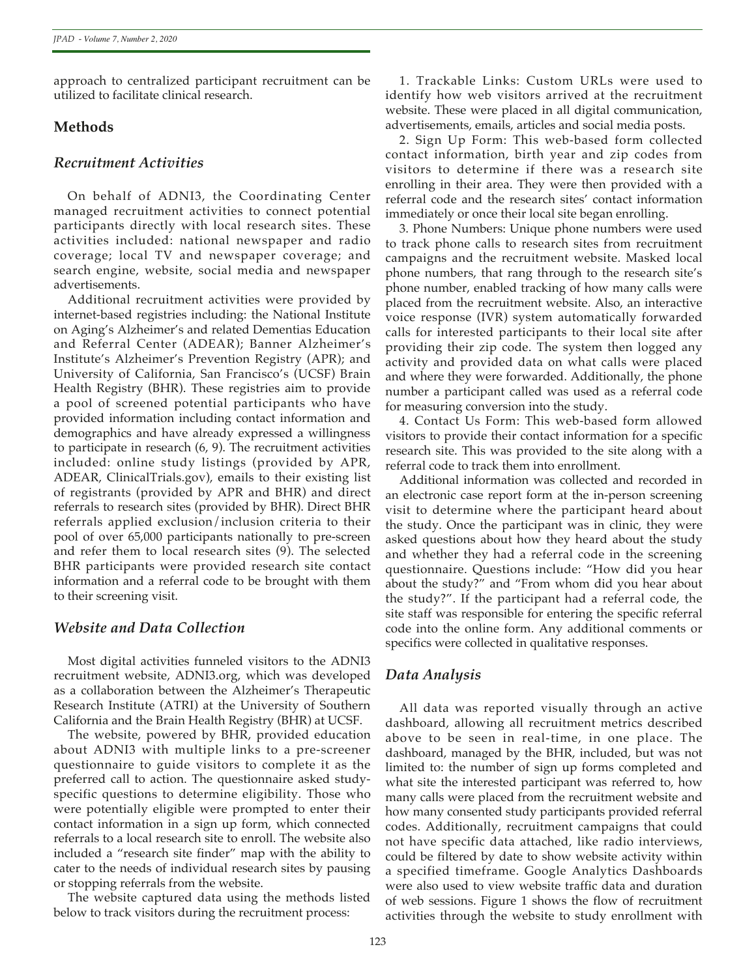approach to centralized participant recruitment can be utilized to facilitate clinical research.

# **Methods**

## *Recruitment Activities*

On behalf of ADNI3, the Coordinating Center managed recruitment activities to connect potential participants directly with local research sites. These activities included: national newspaper and radio coverage; local TV and newspaper coverage; and search engine, website, social media and newspaper advertisements.

Additional recruitment activities were provided by internet-based registries including: the National Institute on Aging's Alzheimer's and related Dementias Education and Referral Center (ADEAR); Banner Alzheimer's Institute's Alzheimer's Prevention Registry (APR); and University of California, San Francisco's (UCSF) Brain Health Registry (BHR). These registries aim to provide a pool of screened potential participants who have provided information including contact information and demographics and have already expressed a willingness to participate in research (6, 9). The recruitment activities included: online study listings (provided by APR, ADEAR, ClinicalTrials.gov), emails to their existing list of registrants (provided by APR and BHR) and direct referrals to research sites (provided by BHR). Direct BHR referrals applied exclusion/inclusion criteria to their pool of over 65,000 participants nationally to pre-screen and refer them to local research sites (9). The selected BHR participants were provided research site contact information and a referral code to be brought with them to their screening visit.

# *Website and Data Collection*

Most digital activities funneled visitors to the ADNI3 recruitment website, ADNI3.org, which was developed as a collaboration between the Alzheimer's Therapeutic Research Institute (ATRI) at the University of Southern California and the Brain Health Registry (BHR) at UCSF.

The website, powered by BHR, provided education about ADNI3 with multiple links to a pre-screener questionnaire to guide visitors to complete it as the preferred call to action. The questionnaire asked studyspecific questions to determine eligibility. Those who were potentially eligible were prompted to enter their contact information in a sign up form, which connected referrals to a local research site to enroll. The website also included a "research site finder" map with the ability to cater to the needs of individual research sites by pausing or stopping referrals from the website.

The website captured data using the methods listed below to track visitors during the recruitment process:

1. Trackable Links: Custom URLs were used to identify how web visitors arrived at the recruitment website. These were placed in all digital communication, advertisements, emails, articles and social media posts.

2. Sign Up Form: This web-based form collected contact information, birth year and zip codes from visitors to determine if there was a research site enrolling in their area. They were then provided with a referral code and the research sites' contact information immediately or once their local site began enrolling.

3. Phone Numbers: Unique phone numbers were used to track phone calls to research sites from recruitment campaigns and the recruitment website. Masked local phone numbers, that rang through to the research site's phone number, enabled tracking of how many calls were placed from the recruitment website. Also, an interactive voice response (IVR) system automatically forwarded calls for interested participants to their local site after providing their zip code. The system then logged any activity and provided data on what calls were placed and where they were forwarded. Additionally, the phone number a participant called was used as a referral code for measuring conversion into the study.

4. Contact Us Form: This web-based form allowed visitors to provide their contact information for a specific research site. This was provided to the site along with a referral code to track them into enrollment.

Additional information was collected and recorded in an electronic case report form at the in-person screening visit to determine where the participant heard about the study. Once the participant was in clinic, they were asked questions about how they heard about the study and whether they had a referral code in the screening questionnaire. Questions include: "How did you hear about the study?" and "From whom did you hear about the study?". If the participant had a referral code, the site staff was responsible for entering the specific referral code into the online form. Any additional comments or specifics were collected in qualitative responses.

# *Data Analysis*

All data was reported visually through an active dashboard, allowing all recruitment metrics described above to be seen in real-time, in one place. The dashboard, managed by the BHR, included, but was not limited to: the number of sign up forms completed and what site the interested participant was referred to, how many calls were placed from the recruitment website and how many consented study participants provided referral codes. Additionally, recruitment campaigns that could not have specific data attached, like radio interviews, could be filtered by date to show website activity within a specified timeframe. Google Analytics Dashboards were also used to view website traffic data and duration of web sessions. Figure 1 shows the flow of recruitment activities through the website to study enrollment with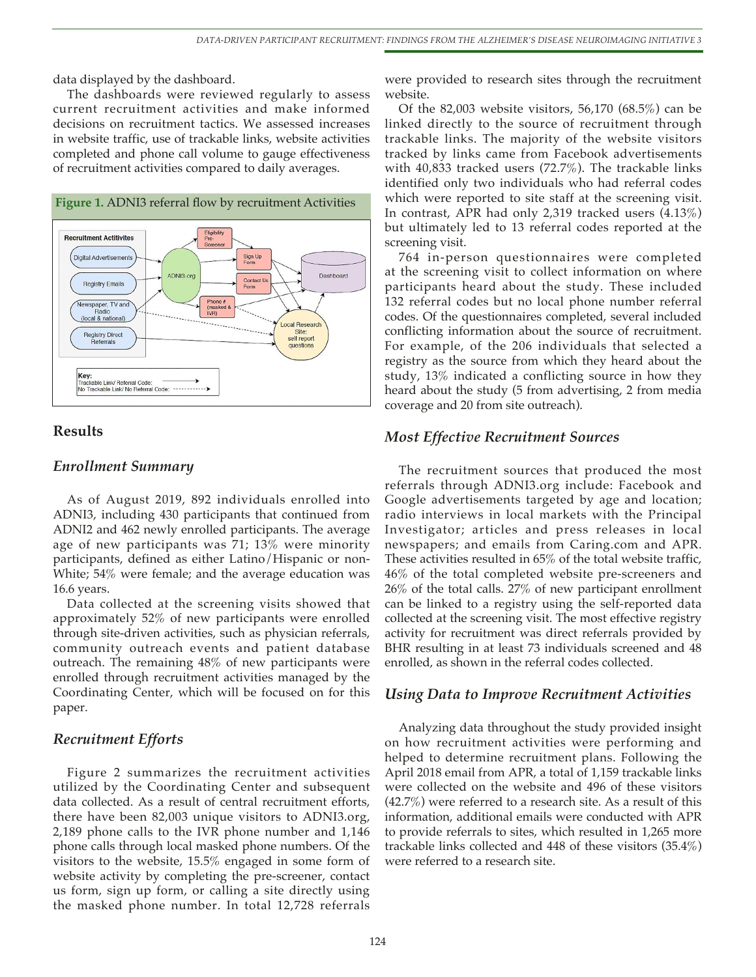data displayed by the dashboard.

The dashboards were reviewed regularly to assess current recruitment activities and make informed decisions on recruitment tactics. We assessed increases in website traffic, use of trackable links, website activities completed and phone call volume to gauge effectiveness of recruitment activities compared to daily averages.



## **Results**

#### *Enrollment Summary*

As of August 2019, 892 individuals enrolled into ADNI3, including 430 participants that continued from ADNI2 and 462 newly enrolled participants. The average age of new participants was 71; 13% were minority participants, defined as either Latino/Hispanic or non-White; 54% were female; and the average education was 16.6 years.

Data collected at the screening visits showed that approximately 52% of new participants were enrolled through site-driven activities, such as physician referrals, community outreach events and patient database outreach. The remaining 48% of new participants were enrolled through recruitment activities managed by the Coordinating Center, which will be focused on for this paper.

#### *Recruitment Efforts*

Figure 2 summarizes the recruitment activities utilized by the Coordinating Center and subsequent data collected. As a result of central recruitment efforts, there have been 82,003 unique visitors to ADNI3.org, 2,189 phone calls to the IVR phone number and 1,146 phone calls through local masked phone numbers. Of the visitors to the website, 15.5% engaged in some form of website activity by completing the pre-screener, contact us form, sign up form, or calling a site directly using the masked phone number. In total 12,728 referrals

were provided to research sites through the recruitment website.

Of the 82,003 website visitors, 56,170 (68.5%) can be linked directly to the source of recruitment through trackable links. The majority of the website visitors tracked by links came from Facebook advertisements with 40,833 tracked users (72.7%). The trackable links identified only two individuals who had referral codes which were reported to site staff at the screening visit. In contrast, APR had only 2,319 tracked users (4.13%) but ultimately led to 13 referral codes reported at the screening visit.

764 in-person questionnaires were completed at the screening visit to collect information on where participants heard about the study. These included 132 referral codes but no local phone number referral codes. Of the questionnaires completed, several included conflicting information about the source of recruitment. For example, of the 206 individuals that selected a registry as the source from which they heard about the study, 13% indicated a conflicting source in how they heard about the study (5 from advertising, 2 from media coverage and 20 from site outreach).

#### *Most Effective Recruitment Sources*

The recruitment sources that produced the most referrals through ADNI3.org include: Facebook and Google advertisements targeted by age and location; radio interviews in local markets with the Principal Investigator; articles and press releases in local newspapers; and emails from Caring.com and APR. These activities resulted in 65% of the total website traffic, 46% of the total completed website pre-screeners and 26% of the total calls. 27% of new participant enrollment can be linked to a registry using the self-reported data collected at the screening visit. The most effective registry activity for recruitment was direct referrals provided by BHR resulting in at least 73 individuals screened and 48 enrolled, as shown in the referral codes collected.

#### *Using Data to Improve Recruitment Activities*

Analyzing data throughout the study provided insight on how recruitment activities were performing and helped to determine recruitment plans. Following the April 2018 email from APR, a total of 1,159 trackable links were collected on the website and 496 of these visitors (42.7%) were referred to a research site. As a result of this information, additional emails were conducted with APR to provide referrals to sites, which resulted in 1,265 more trackable links collected and 448 of these visitors (35.4%) were referred to a research site.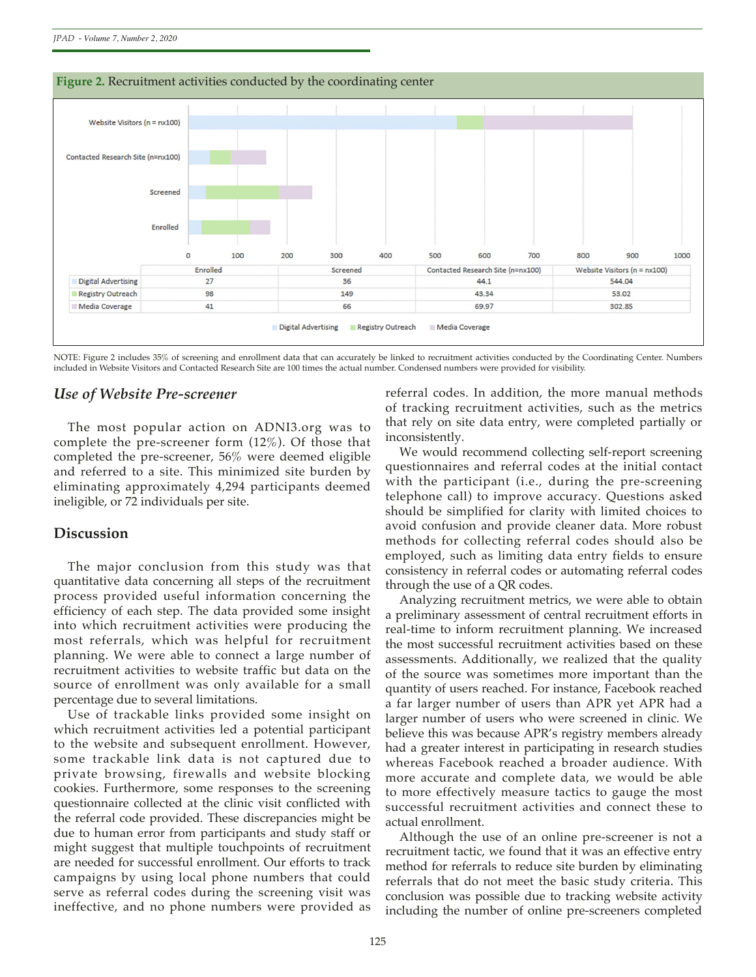

*JPAD - Volume 7, Number 2, 2020*



NOTE: Figure 2 includes 35% of screening and enrollment data that can accurately be linked to recruitment activities conducted by the Coordinating Center. Numbers included in Website Visitors and Contacted Research Site are 100 times the actual number. Condensed numbers were provided for visibility.

## *Use of Website Pre-screener*

The most popular action on ADNI3.org was to complete the pre-screener form (12%). Of those that completed the pre-screener, 56% were deemed eligible and referred to a site. This minimized site burden by eliminating approximately 4,294 participants deemed ineligible, or 72 individuals per site.

### **Discussion**

The major conclusion from this study was that quantitative data concerning all steps of the recruitment process provided useful information concerning the efficiency of each step. The data provided some insight into which recruitment activities were producing the most referrals, which was helpful for recruitment planning. We were able to connect a large number of recruitment activities to website traffic but data on the source of enrollment was only available for a small percentage due to several limitations.

Use of trackable links provided some insight on which recruitment activities led a potential participant to the website and subsequent enrollment. However, some trackable link data is not captured due to private browsing, firewalls and website blocking cookies. Furthermore, some responses to the screening questionnaire collected at the clinic visit conflicted with the referral code provided. These discrepancies might be due to human error from participants and study staff or might suggest that multiple touchpoints of recruitment are needed for successful enrollment. Our efforts to track campaigns by using local phone numbers that could serve as referral codes during the screening visit was ineffective, and no phone numbers were provided as

referral codes. In addition, the more manual methods of tracking recruitment activities, such as the metrics that rely on site data entry, were completed partially or inconsistently.

We would recommend collecting self-report screening questionnaires and referral codes at the initial contact with the participant (i.e., during the pre-screening telephone call) to improve accuracy. Questions asked should be simplified for clarity with limited choices to avoid confusion and provide cleaner data. More robust methods for collecting referral codes should also be employed, such as limiting data entry fields to ensure consistency in referral codes or automating referral codes through the use of a QR codes.

Analyzing recruitment metrics, we were able to obtain a preliminary assessment of central recruitment efforts in real-time to inform recruitment planning. We increased the most successful recruitment activities based on these assessments. Additionally, we realized that the quality of the source was sometimes more important than the quantity of users reached. For instance, Facebook reached a far larger number of users than APR yet APR had a larger number of users who were screened in clinic. We believe this was because APR's registry members already had a greater interest in participating in research studies whereas Facebook reached a broader audience. With more accurate and complete data, we would be able to more effectively measure tactics to gauge the most successful recruitment activities and connect these to actual enrollment.

Although the use of an online pre-screener is not a recruitment tactic, we found that it was an effective entry method for referrals to reduce site burden by eliminating referrals that do not meet the basic study criteria. This conclusion was possible due to tracking website activity including the number of online pre-screeners completed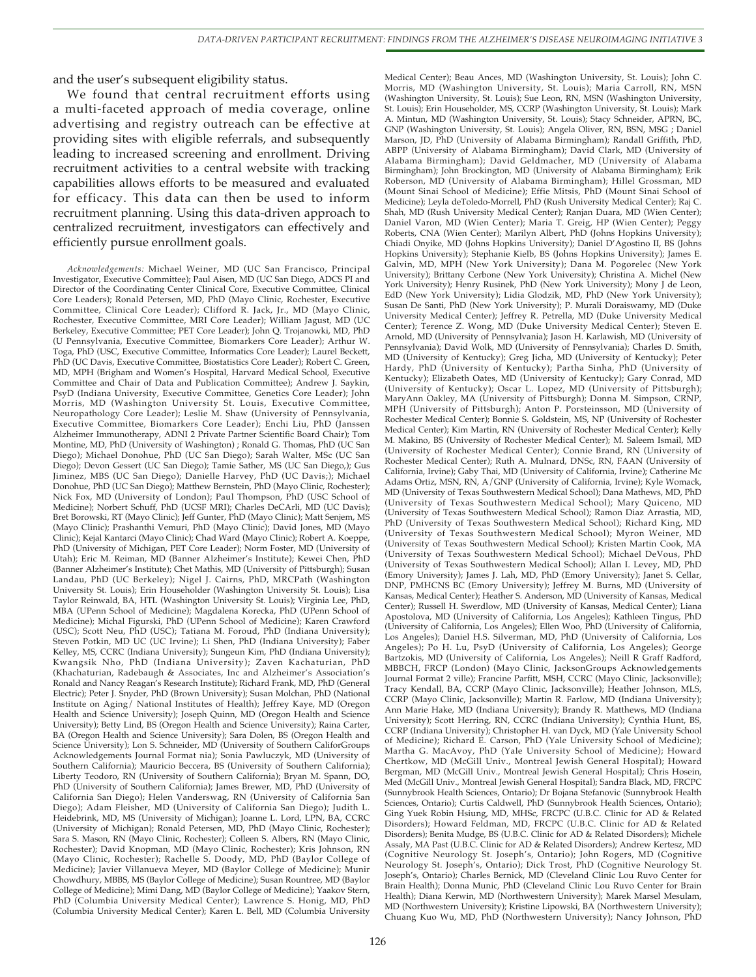and the user's subsequent eligibility status.

We found that central recruitment efforts using a multi-faceted approach of media coverage, online advertising and registry outreach can be effective at providing sites with eligible referrals, and subsequently leading to increased screening and enrollment. Driving recruitment activities to a central website with tracking capabilities allows efforts to be measured and evaluated for efficacy. This data can then be used to inform recruitment planning. Using this data-driven approach to centralized recruitment, investigators can effectively and efficiently pursue enrollment goals.

*Acknowledgements:* Michael Weiner, MD (UC San Francisco, Principal Investigator, Executive Committee); Paul Aisen, MD (UC San Diego, ADCS PI and Director of the Coordinating Center Clinical Core, Executive Committee, Clinical Core Leaders); Ronald Petersen, MD, PhD (Mayo Clinic, Rochester, Executive Committee, Clinical Core Leader); Clifford R. Jack, Jr., MD (Mayo Clinic, Rochester, Executive Committee, MRI Core Leader); William Jagust, MD (UC Berkeley, Executive Committee; PET Core Leader); John Q. Trojanowki, MD, PhD (U Pennsylvania, Executive Committee, Biomarkers Core Leader); Arthur W. Toga, PhD (USC, Executive Committee, Informatics Core Leader); Laurel Beckett, PhD (UC Davis, Executive Committee, Biostatistics Core Leader); Robert C. Green, MD, MPH (Brigham and Women's Hospital, Harvard Medical School, Executive Committee and Chair of Data and Publication Committee); Andrew J. Saykin, PsyD (Indiana University, Executive Committee, Genetics Core Leader); John Morris, MD (Washington University St. Louis, Executive Committee, Neuropathology Core Leader); Leslie M. Shaw (University of Pennsylvania, Executive Committee, Biomarkers Core Leader); Enchi Liu, PhD (Janssen Alzheimer Immunotherapy, ADNI 2 Private Partner Scientific Board Chair); Tom Montine, MD, PhD (University of Washington) ; Ronald G. Thomas, PhD (UC San Diego); Michael Donohue, PhD (UC San Diego); Sarah Walter, MSc (UC San Diego); Devon Gessert (UC San Diego); Tamie Sather, MS (UC San Diego,); Gus Jiminez, MBS (UC San Diego); Danielle Harvey, PhD (UC Davis;); Michael Donohue, PhD (UC San Diego); Matthew Bernstein, PhD (Mayo Clinic, Rochester); Nick Fox, MD (University of London); Paul Thompson, PhD (USC School of Medicine); Norbert Schuff, PhD (UCSF MRI); Charles DeCArli, MD (UC Davis); Bret Borowski, RT (Mayo Clinic); Jeff Gunter, PhD (Mayo Clinic); Matt Senjem, MS (Mayo Clinic); Prashanthi Vemuri, PhD (Mayo Clinic); David Jones, MD (Mayo Clinic); Kejal Kantarci (Mayo Clinic); Chad Ward (Mayo Clinic); Robert A. Koeppe, PhD (University of Michigan, PET Core Leader); Norm Foster, MD (University of Utah); Eric M. Reiman, MD (Banner Alzheimer's Institute); Kewei Chen, PhD (Banner Alzheimer's Institute); Chet Mathis, MD (University of Pittsburgh); Susan Landau, PhD (UC Berkeley); Nigel J. Cairns, PhD, MRCPath (Washington University St. Louis); Erin Householder (Washington University St. Louis); Lisa Taylor Reinwald, BA, HTL (Washington University St. Louis); Virginia Lee, PhD, MBA (UPenn School of Medicine); Magdalena Korecka, PhD (UPenn School of Medicine); Michal Figurski, PhD (UPenn School of Medicine); Karen Crawford (USC); Scott Neu, PhD (USC); Tatiana M. Foroud, PhD (Indiana University); Steven Potkin, MD UC (UC Irvine); Li Shen, PhD (Indiana University); Faber Kelley, MS, CCRC (Indiana University); Sungeun Kim, PhD (Indiana University); Kwangsik Nho, PhD (Indiana University); Zaven Kachaturian, PhD (Khachaturian, Radebaugh & Associates, Inc and Alzheimer's Association's Ronald and Nancy Reagan's Research Institute); Richard Frank, MD, PhD (General Electric); Peter J. Snyder, PhD (Brown University); Susan Molchan, PhD (National Institute on Aging/ National Institutes of Health); Jeffrey Kaye, MD (Oregon Health and Science University); Joseph Quinn, MD (Oregon Health and Science University); Betty Lind, BS (Oregon Health and Science University); Raina Carter, BA (Oregon Health and Science University); Sara Dolen, BS (Oregon Health and Science University); Lon S. Schneider, MD (University of Southern CaliforGroups Acknowledgements Journal Format nia); Sonia Pawluczyk, MD (University of Southern California); Mauricio Beccera, BS (University of Southern California); Liberty Teodoro, RN (University of Southern California); Bryan M. Spann, DO, PhD (University of Southern California); James Brewer, MD, PhD (University of California San Diego); Helen Vanderswag, RN (University of California San Diego); Adam Fleisher, MD (University of California San Diego); Judith L. Heidebrink, MD, MS (University of Michigan); Joanne L. Lord, LPN, BA, CCRC (University of Michigan); Ronald Petersen, MD, PhD (Mayo Clinic, Rochester); Sara S. Mason, RN (Mayo Clinic, Rochester); Colleen S. Albers, RN (Mayo Clinic, Rochester); David Knopman, MD (Mayo Clinic, Rochester); Kris Johnson, RN (Mayo Clinic, Rochester); Rachelle S. Doody, MD, PhD (Baylor College of Medicine); Javier Villanueva Meyer, MD (Baylor College of Medicine); Munir Chowdhury, MBBS, MS (Baylor College of Medicine); Susan Rountree, MD (Baylor College of Medicine); Mimi Dang, MD (Baylor College of Medicine); Yaakov Stern, PhD (Columbia University Medical Center); Lawrence S. Honig, MD, PhD (Columbia University Medical Center); Karen L. Bell, MD (Columbia University

Medical Center); Beau Ances, MD (Washington University, St. Louis); John C. Morris, MD (Washington University, St. Louis); Maria Carroll, RN, MSN (Washington University, St. Louis); Sue Leon, RN, MSN (Washington University, St. Louis); Erin Householder, MS, CCRP (Washington University, St. Louis); Mark A. Mintun, MD (Washington University, St. Louis); Stacy Schneider, APRN, BC, GNP (Washington University, St. Louis); Angela Oliver, RN, BSN, MSG ; Daniel Marson, JD, PhD (University of Alabama Birmingham); Randall Griffith, PhD, ABPP (University of Alabama Birmingham); David Clark, MD (University of Alabama Birmingham); David Geldmacher, MD (University of Alabama Birmingham); John Brockington, MD (University of Alabama Birmingham); Erik Roberson, MD (University of Alabama Birmingham); Hillel Grossman, MD (Mount Sinai School of Medicine); Effie Mitsis, PhD (Mount Sinai School of Medicine); Leyla deToledo-Morrell, PhD (Rush University Medical Center); Raj C. Shah, MD (Rush University Medical Center); Ranjan Duara, MD (Wien Center); Daniel Varon, MD (Wien Center); Maria T. Greig, HP (Wien Center); Peggy Roberts, CNA (Wien Center); Marilyn Albert, PhD (Johns Hopkins University); Chiadi Onyike, MD (Johns Hopkins University); Daniel D'Agostino II, BS (Johns Hopkins University); Stephanie Kielb, BS (Johns Hopkins University); James E. Galvin, MD, MPH (New York University); Dana M. Pogorelec (New York University); Brittany Cerbone (New York University); Christina A. Michel (New York University); Henry Rusinek, PhD (New York University); Mony J de Leon, EdD (New York University); Lidia Glodzik, MD, PhD (New York University); Susan De Santi, PhD (New York University); P. Murali Doraiswamy, MD (Duke University Medical Center); Jeffrey R. Petrella, MD (Duke University Medical Center); Terence Z. Wong, MD (Duke University Medical Center); Steven E. Arnold, MD (University of Pennsylvania); Jason H. Karlawish, MD (University of Pennsylvania); David Wolk, MD (University of Pennsylvania); Charles D. Smith, MD (University of Kentucky); Greg Jicha, MD (University of Kentucky); Peter Hardy, PhD (University of Kentucky); Partha Sinha, PhD (University of Kentucky); Elizabeth Oates, MD (University of Kentucky); Gary Conrad, MD (University of Kentucky); Oscar L. Lopez, MD (University of Pittsburgh); MaryAnn Oakley, MA (University of Pittsburgh); Donna M. Simpson, CRNP, MPH (University of Pittsburgh); Anton P. Porsteinsson, MD (University of Rochester Medical Center); Bonnie S. Goldstein, MS, NP (University of Rochester Medical Center); Kim Martin, RN (University of Rochester Medical Center); Kelly M. Makino, BS (University of Rochester Medical Center); M. Saleem Ismail, MD (University of Rochester Medical Center); Connie Brand, RN (University of Rochester Medical Center); Ruth A. Mulnard, DNSc, RN, FAAN (University of California, Irvine); Gaby Thai, MD (University of California, Irvine); Catherine Mc Adams Ortiz, MSN, RN, A/GNP (University of California, Irvine); Kyle Womack, MD (University of Texas Southwestern Medical School); Dana Mathews, MD, PhD (University of Texas Southwestern Medical School); Mary Quiceno, MD (University of Texas Southwestern Medical School); Ramon Diaz Arrastia, MD, PhD (University of Texas Southwestern Medical School); Richard King, MD (University of Texas Southwestern Medical School); Myron Weiner, MD (University of Texas Southwestern Medical School); Kristen Martin Cook, MA (University of Texas Southwestern Medical School); Michael DeVous, PhD (University of Texas Southwestern Medical School); Allan I. Levey, MD, PhD (Emory University); James J. Lah, MD, PhD (Emory University); Janet S. Cellar, DNP, PMHCNS BC (Emory University); Jeffrey M. Burns, MD (University of Kansas, Medical Center); Heather S. Anderson, MD (University of Kansas, Medical Center); Russell H. Swerdlow, MD (University of Kansas, Medical Center); Liana Apostolova, MD (University of California, Los Angeles); Kathleen Tingus, PhD (University of California, Los Angeles); Ellen Woo, PhD (University of California, Los Angeles); Daniel H.S. Silverman, MD, PhD (University of California, Los Angeles); Po H. Lu, PsyD (University of California, Los Angeles); George Bartzokis, MD (University of California, Los Angeles); Neill R Graff Radford, MBBCH, FRCP (London) (Mayo Clinic, JacksonGroups Acknowledgements Journal Format 2 ville); Francine Parfitt, MSH, CCRC (Mayo Clinic, Jacksonville); Tracy Kendall, BA, CCRP (Mayo Clinic, Jacksonville); Heather Johnson, MLS, CCRP (Mayo Clinic, Jacksonville); Martin R. Farlow, MD (Indiana University); Ann Marie Hake, MD (Indiana University); Brandy R. Matthews, MD (Indiana University); Scott Herring, RN, CCRC (Indiana University); Cynthia Hunt, BS, CCRP (Indiana University); Christopher H. van Dyck, MD (Yale University School of Medicine); Richard E. Carson, PhD (Yale University School of Medicine); Martha G. MacAvoy, PhD (Yale University School of Medicine); Howard Chertkow, MD (McGill Univ., Montreal Jewish General Hospital); Howard Bergman, MD (McGill Univ., Montreal Jewish General Hospital); Chris Hosein, Med (McGill Univ., Montreal Jewish General Hospital); Sandra Black, MD, FRCPC (Sunnybrook Health Sciences, Ontario); Dr Bojana Stefanovic (Sunnybrook Health Sciences, Ontario); Curtis Caldwell, PhD (Sunnybrook Health Sciences, Ontario); Ging Yuek Robin Hsiung, MD, MHSc, FRCPC (U.B.C. Clinic for AD & Related Disorders); Howard Feldman, MD, FRCPC (U.B.C. Clinic for AD & Related Disorders); Benita Mudge, BS (U.B.C. Clinic for AD & Related Disorders); Michele Assaly, MA Past (U.B.C. Clinic for AD & Related Disorders); Andrew Kertesz, MD (Cognitive Neurology St. Joseph's, Ontario); John Rogers, MD (Cognitive Neurology St. Joseph's, Ontario); Dick Trost, PhD (Cognitive Neurology St. Joseph's, Ontario); Charles Bernick, MD (Cleveland Clinic Lou Ruvo Center for Brain Health); Donna Munic, PhD (Cleveland Clinic Lou Ruvo Center for Brain Health); Diana Kerwin, MD (Northwestern University); Marek Marsel Mesulam, MD (Northwestern University); Kristine Lipowski, BA (Northwestern University); Chuang Kuo Wu, MD, PhD (Northwestern University); Nancy Johnson, PhD